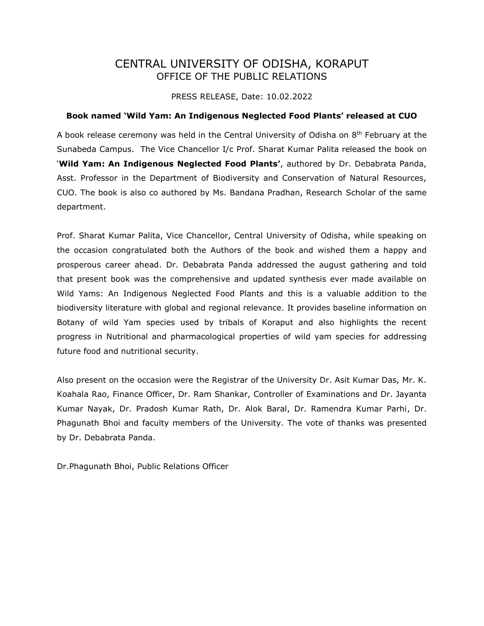## CENTRAL UNIVERSITY OF ODISHA, KORAPUT OFFICE OF THE PUBLIC RELATIONS

PRESS RELEASE, Date: 10.02.2022

## **Book named 'Wild Yam: An Indigenous Neglected Food Plants' released at CUO**

A book release ceremony was held in the Central University of Odisha on 8<sup>th</sup> February at the Sunabeda Campus. The Vice Chancellor I/c Prof. Sharat Kumar Palita released the book on '**Wild Yam: An Indigenous Neglected Food Plants'**, authored by Dr. Debabrata Panda, Asst. Professor in the Department of Biodiversity and Conservation of Natural Resources, CUO. The book is also co authored by Ms. Bandana Pradhan, Research Scholar of the same department.

Prof. Sharat Kumar Palita, Vice Chancellor, Central University of Odisha, while speaking on the occasion congratulated both the Authors of the book and wished them a happy and prosperous career ahead. Dr. Debabrata Panda addressed the august gathering and told that present book was the comprehensive and updated synthesis ever made available on Wild Yams: An Indigenous Neglected Food Plants and this is a valuable addition to the biodiversity literature with global and regional relevance. It provides baseline information on Botany of wild Yam species used by tribals of Koraput and also highlights the recent progress in Nutritional and pharmacological properties of wild yam species for addressing future food and nutritional security.

Also present on the occasion were the Registrar of the University Dr. Asit Kumar Das, Mr. K. Koahala Rao, Finance Officer, Dr. Ram Shankar, Controller of Examinations and Dr. Jayanta Kumar Nayak, Dr. Pradosh Kumar Rath, Dr. Alok Baral, Dr. Ramendra Kumar Parhi, Dr. Phagunath Bhoi and faculty members of the University. The vote of thanks was presented by Dr. Debabrata Panda.

Dr.Phagunath Bhoi, Public Relations Officer